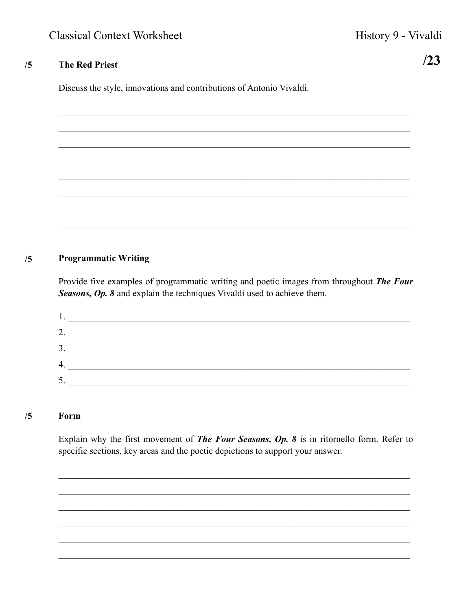$/23$ 

## $/5$ **The Red Priest**

Discuss the style, innovations and contributions of Antonio Vivaldi.

## **Programmatic Writing**  $/5$

Provide five examples of programmatic writing and poetic images from throughout The Four Seasons, Op. 8 and explain the techniques Vivaldi used to achieve them.

| ◠   |  |
|-----|--|
| ◠   |  |
|     |  |
| J . |  |

#### $/5$ Form

Explain why the first movement of **The Four Seasons, Op. 8** is in ritornello form. Refer to specific sections, key areas and the poetic depictions to support your answer.